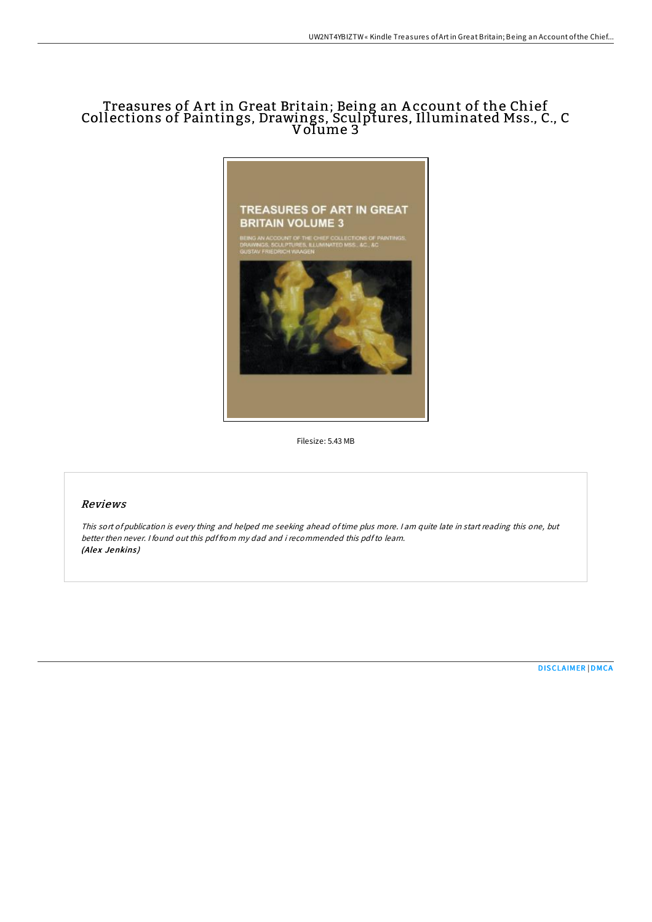## Treasures of A rt in Great Britain; Being an A ccount of the Chief Collections of Paintings, Drawings, Sculptures, Illuminated Mss., C., C Volume 3  $^{\circ}$



Filesize: 5.43 MB

# Reviews

This sort of publication is every thing and helped me seeking ahead oftime plus more. <sup>I</sup> am quite late in start reading this one, but better then never. I found out this pdf from my dad and i recommended this pdfto learn. (Alex Jenkins)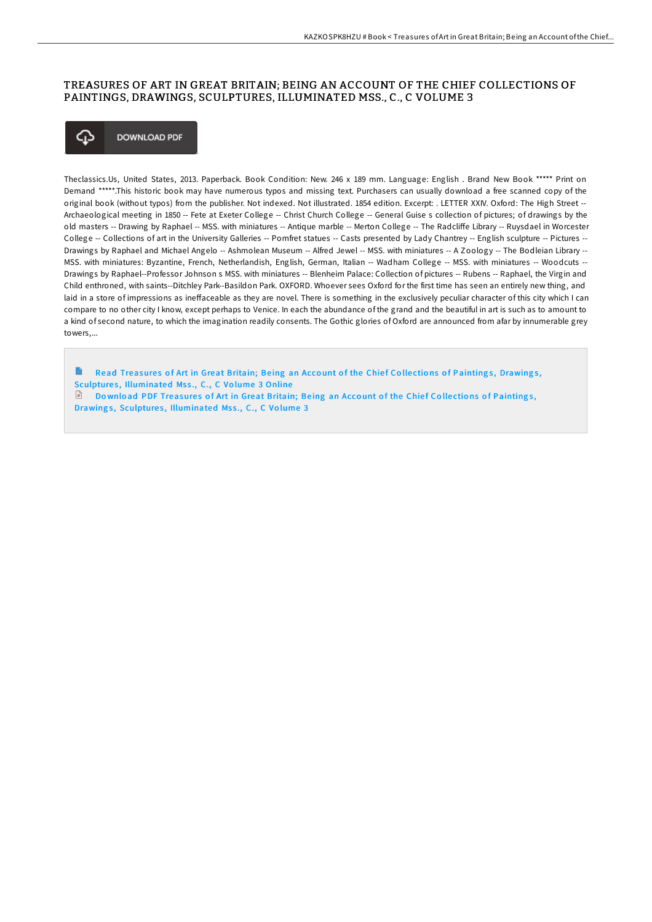### TREASURES OF ART IN GREAT BRITAIN; BEING AN ACCOUNT OF THE CHIEF COLLECTIONS OF PAINTINGS, DRAWINGS, SCULPTURES, ILLUMINATED MSS., C., C VOLUME 3



Theclassics.Us, United States, 2013. Paperback. Book Condition: New. 246 x 189 mm. Language: English . Brand New Book \*\*\*\*\* Print on Demand \*\*\*\*\*.This historic book may have numerous typos and missing text. Purchasers can usually download a free scanned copy of the original book (without typos) from the publisher. Not indexed. Not illustrated. 1854 edition. Excerpt: . LETTER XXIV. Oxford: The High Street -- Archaeological meeting in 1850 -- Fete at Exeter College -- Christ Church College -- General Guise s collection of pictures; of drawings by the old masters -- Drawing by Raphael -- MSS. with miniatures -- Antique marble -- Merton College -- The Radcliffe Library -- Ruysdael in Worcester College -- Collections of art in the University Galleries -- Pomfret statues -- Casts presented by Lady Chantrey -- English sculpture -- Pictures -- Drawings by Raphael and Michael Angelo -- Ashmolean Museum -- Alfred Jewel -- MSS. with miniatures -- A Zoology -- The Bodleian Library --MSS. with miniatures: Byzantine, French, Netherlandish, English, German, Italian -- Wadham College -- MSS. with miniatures -- Woodcuts --Drawings by Raphael--Professor Johnson s MSS. with miniatures -- Blenheim Palace: Collection of pictures -- Rubens -- Raphael, the Virgin and Child enthroned, with saints--Ditchley Park--Basildon Park. OXFORD. Whoever sees Oxford for the first time has seen an entirely new thing, and laid in a store of impressions as ineffaceable as they are novel. There is something in the exclusively peculiar character of this city which I can compare to no other city I know, except perhaps to Venice. In each the abundance of the grand and the beautiful in art is such as to amount to a kind of second nature, to which the imagination readily consents. The Gothic glories of Oxford are announced from afar by innumerable grey towers

 $\blacksquare$ Read Treasures of Art in Great Britain; Being an Account of the Chief Collections of Paintings, Drawings, Sculptures, [Illuminated](http://almighty24.tech/treasures-of-art-in-great-britain-being-an-accou-1.html) Mss., C., C Volume 3 Online  $\Box$  Download PDF Treasures of Art in Great Britain; Being an Account of the Chief Collections of Paintings, Drawings, Sculptures, [Illuminated](http://almighty24.tech/treasures-of-art-in-great-britain-being-an-accou-1.html) Mss., C., C Volume 3